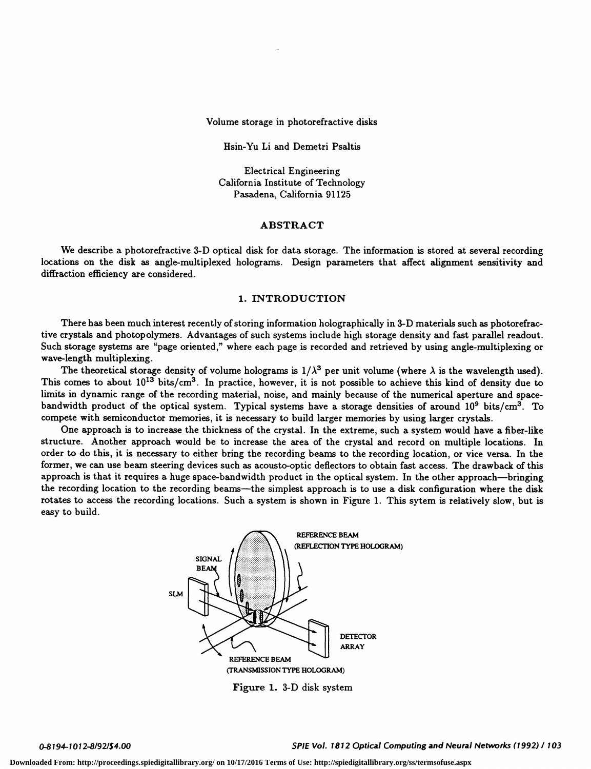Volume storage in photorefractive disks

Hsin-Yu Li and Demetri Psaltis

Electrical Engineering California Institute of Technology Pasadena, California 91125

#### ABSTRACT

We describe a photorefractive 3-D optical disk for data storage. The information is stored at several recording locations on the disk as angle-multiplexed holograms. Design parameters that affect alignment sensitivity and diffraction efficiency are considered.

## 1. INTRODUCTION

There has been much interest recently of storing information holographically in 3-D materials such as photorefractive crystals and photopolymers. Advantages of such systems include high storage density and fast parallel readout. Such storage systems are "page oriented," where each page is recorded and retrieved by using angle-multiplexing or wave-length multiplexing.

The theoretical storage density of volume holograms is  $1/\lambda^3$  per unit volume (where  $\lambda$  is the wavelength used). This comes to about  $10^{13}$  bits/cm<sup>3</sup>. In practice, however, it is not possible to achieve this kind of density due to limits in dynamic range of the recording material, noise, and mainly because of the numerical aperture and spacebandwidth product of the optical system. Typical systems have a storage densities of around  $10^9$  bits/cm<sup>3</sup>. To compete with semiconductor memories, it is necessary to build larger memories by using larger crystals.

One approach is to increase the thickness of the crystal. In the extreme, such a system would have a fiber-like structure. Another approach would be to increase the area of the crystal and record on multiple locations. In order to do this, it is necessary to either bring the recording beams to the recording location, or vice versa. In the former, we can use beam steering devices such as acousto-optic defiectors to obtain fast access. The drawback of this approach is that it requires a huge space-bandwidth product in the optical system. In the other approach—bringing the recording location to the recording beams—the simplest approach is to use a disk configuration where the disk rotates to access the recording locations. Such a system is shown in Figure 1. This sytem is relatively slow, but is easy to build.



Figure 1. 3-D disk system